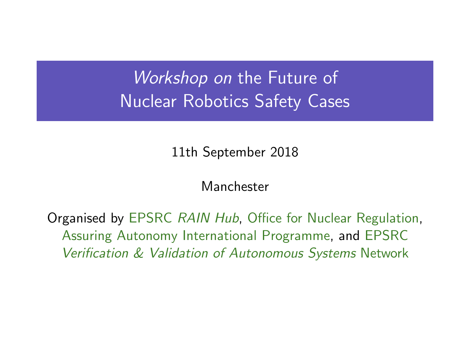Workshop on the Future of Nuclear Robotics Safety Cases

11th September 2018

Manchester

Organised by EPSRC RAIN Hub, Office for Nuclear Regulation, Assuring Autonomy International Programme, and EPSRC Verification & Validation of Autonomous Systems Network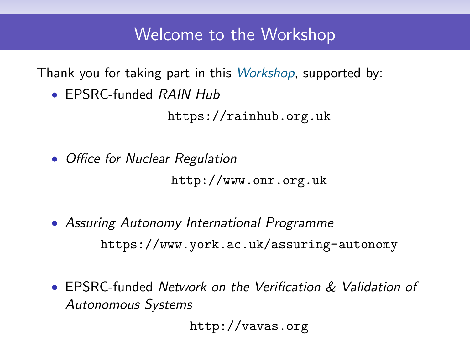## Welcome to the Workshop

Thank you for taking part in this Workshop, supported by:

• EPSRC-funded RAIN Hub

<https://rainhub.org.uk>

- Office for Nuclear Regulation <http://www.onr.org.uk>
- Assuring Autonomy International Programme <https://www.york.ac.uk/assuring-autonomy>
- EPSRC-funded Network on the Verification & Validation of Autonomous Systems

<http://vavas.org>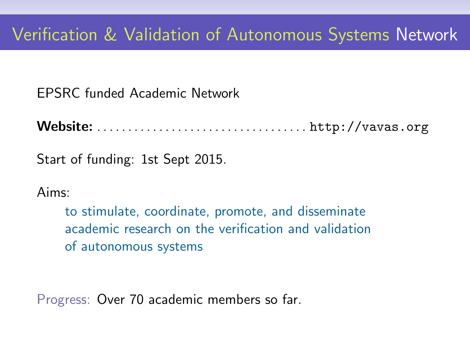EPSRC funded Academic Network

Website: . . . . . . . . . . . . . . . . . . . . . . . . . . . . . . . . . . <http://vavas.org>

Start of funding: 1st Sept 2015.

Aims:

to stimulate, coordinate, promote, and disseminate academic research on the verification and validation of autonomous systems

Progress: Over 70 academic members so far.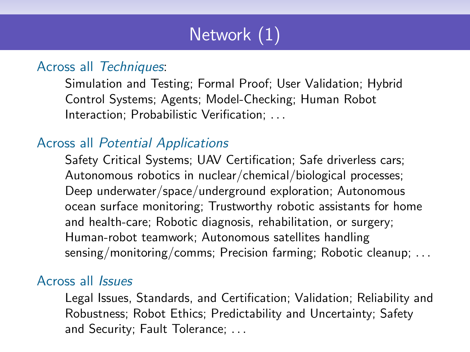# Network (1)

#### Across all Techniques:

Simulation and Testing; Formal Proof; User Validation; Hybrid Control Systems; Agents; Model-Checking; Human Robot Interaction; Probabilistic Verification; . . .

#### Across all Potential Applications

Safety Critical Systems; UAV Certification; Safe driverless cars; Autonomous robotics in nuclear/chemical/biological processes; Deep underwater/space/underground exploration; Autonomous ocean surface monitoring; Trustworthy robotic assistants for home and health-care; Robotic diagnosis, rehabilitation, or surgery; Human-robot teamwork; Autonomous satellites handling sensing/monitoring/comms; Precision farming; Robotic cleanup; ...

#### Across all Issues

Legal Issues, Standards, and Certification; Validation; Reliability and Robustness; Robot Ethics; Predictability and Uncertainty; Safety and Security; Fault Tolerance; . . .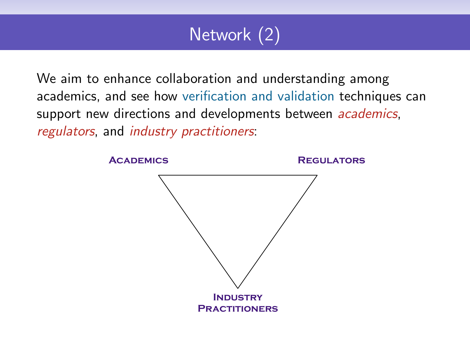# Network (2)

We aim to enhance collaboration and understanding among academics, and see how verification and validation techniques can support new directions and developments between *academics*, regulators, and industry practitioners:

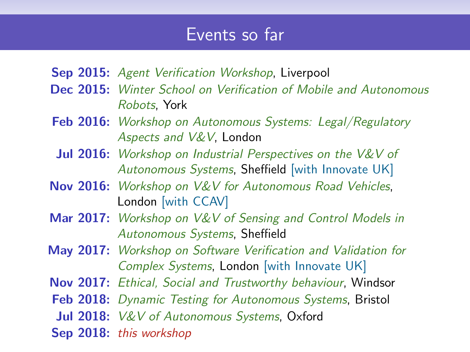### Events so far

- Sep 2015: Agent Verification Workshop, Liverpool
- Dec 2015: Winter School on Verification of Mobile and Autonomous Robots, York
- **Feb 2016:** Workshop on Autonomous Systems: Legal/Regulatory Aspects and V&V, London
- Jul 2016: Workshop on Industrial Perspectives on the V&V of Autonomous Systems, Sheffield [with Innovate UK]
- Nov 2016: Workshop on V&V for Autonomous Road Vehicles, London [with CCAV]
- Mar 2017: Workshop on V&V of Sensing and Control Models in Autonomous Systems, Sheffield
- May 2017: Workshop on Software Verification and Validation for Complex Systems, London [with Innovate UK]
- Nov 2017: Ethical, Social and Trustworthy behaviour, Windsor
- Feb 2018: Dynamic Testing for Autonomous Systems, Bristol
- Jul 2018: V&V of Autonomous Systems, Oxford
- Sep 2018: this workshop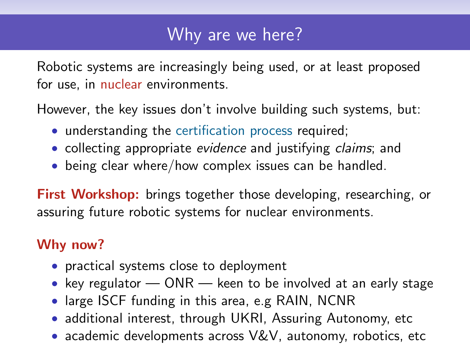## Why are we here?

Robotic systems are increasingly being used, or at least proposed for use, in nuclear environments.

However, the key issues don't involve building such systems, but:

- understanding the certification process required;
- collecting appropriate evidence and justifying claims; and
- being clear where/how complex issues can be handled.

First Workshop: brings together those developing, researching, or assuring future robotic systems for nuclear environments.

### Why now?

- practical systems close to deployment
- key regulator ONR keen to be involved at an early stage
- large ISCF funding in this area, e.g RAIN, NCNR
- additional interest, through UKRI, Assuring Autonomy, etc
- academic developments across V&V, autonomy, robotics, etc